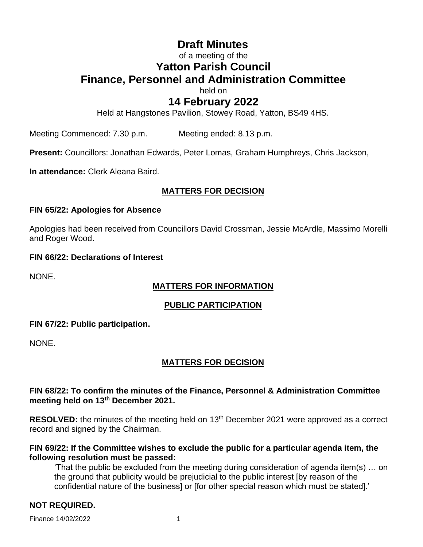# **Draft Minutes**

# of a meeting of the

# **Yatton Parish Council Finance, Personnel and Administration Committee**

held on

# **14 February 2022**

Held at Hangstones Pavilion, Stowey Road, Yatton, BS49 4HS.

Meeting Commenced: 7.30 p.m. Meeting ended: 8.13 p.m.

**Present:** Councillors: Jonathan Edwards, Peter Lomas, Graham Humphreys, Chris Jackson,

**In attendance:** Clerk Aleana Baird.

# **MATTERS FOR DECISION**

## **FIN 65/22: Apologies for Absence**

Apologies had been received from Councillors David Crossman, Jessie McArdle, Massimo Morelli and Roger Wood.

## **FIN 66/22: Declarations of Interest**

NONE.

# **MATTERS FOR INFORMATION**

# **PUBLIC PARTICIPATION**

## **FIN 67/22: Public participation.**

NONE.

# **MATTERS FOR DECISION**

## **FIN 68/22: To confirm the minutes of the Finance, Personnel & Administration Committee meeting held on 13 th December 2021.**

RESOLVED: the minutes of the meeting held on 13<sup>th</sup> December 2021 were approved as a correct record and signed by the Chairman.

### **FIN 69/22: If the Committee wishes to exclude the public for a particular agenda item, the following resolution must be passed:**

'That the public be excluded from the meeting during consideration of agenda item(s) … on the ground that publicity would be prejudicial to the public interest [by reason of the confidential nature of the business] or [for other special reason which must be stated].'

# **NOT REQUIRED.**

Finance 14/02/2022 1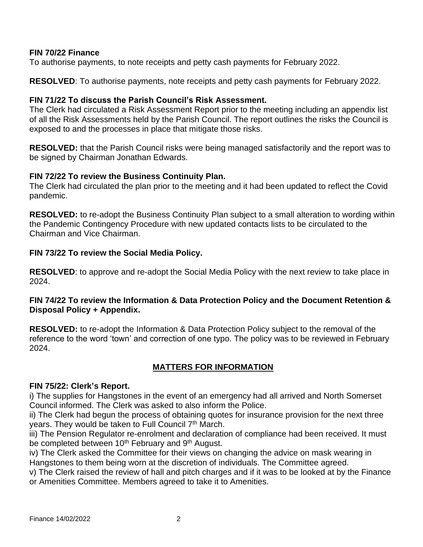### **FIN 70/22 Finance**

To authorise payments, to note receipts and petty cash payments for February 2022.

**RESOLVED**: To authorise payments, note receipts and petty cash payments for February 2022.

### **FIN 71/22 To discuss the Parish Council's Risk Assessment.**

The Clerk had circulated a Risk Assessment Report prior to the meeting including an appendix list of all the Risk Assessments held by the Parish Council. The report outlines the risks the Council is exposed to and the processes in place that mitigate those risks.

**RESOLVED:** that the Parish Council risks were being managed satisfactorily and the report was to be signed by Chairman Jonathan Edwards.

#### **FIN 72/22 To review the Business Continuity Plan.**

The Clerk had circulated the plan prior to the meeting and it had been updated to reflect the Covid pandemic.

**RESOLVED:** to re-adopt the Business Continuity Plan subject to a small alteration to wording within the Pandemic Contingency Procedure with new updated contacts lists to be circulated to the Chairman and Vice Chairman.

#### **FIN 73/22 To review the Social Media Policy.**

**RESOLVED**: to approve and re-adopt the Social Media Policy with the next review to take place in 2024.

#### **FIN 74/22 To review the Information & Data Protection Policy and the Document Retention & Disposal Policy + Appendix.**

**RESOLVED:** to re-adopt the Information & Data Protection Policy subject to the removal of the reference to the word 'town' and correction of one typo. The policy was to be reviewed in February 2024.

### **MATTERS FOR INFORMATION**

#### **FIN 75/22: Clerk's Report.**

i) The supplies for Hangstones in the event of an emergency had all arrived and North Somerset Council informed. The Clerk was asked to also inform the Police.

ii) The Clerk had begun the process of obtaining quotes for insurance provision for the next three years. They would be taken to Full Council 7<sup>th</sup> March.

iii) The Pension Regulator re-enrolment and declaration of compliance had been received. It must be completed between 10<sup>th</sup> February and 9<sup>th</sup> August.

iv) The Clerk asked the Committee for their views on changing the advice on mask wearing in Hangstones to them being worn at the discretion of individuals. The Committee agreed.

v) The Clerk raised the review of hall and pitch charges and if it was to be looked at by the Finance or Amenities Committee. Members agreed to take it to Amenities.